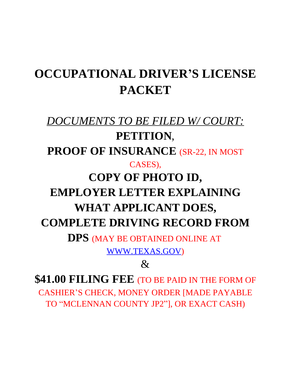# **OCCUPATIONAL DRIVER'S LICENSE PACKET**

# *DOCUMENTS TO BE FILED W/ COURT:* **PETITION**, PROOF OF INSURANCE (SR-22, IN MOST CASES), **COPY OF PHOTO ID, EMPLOYER LETTER EXPLAINING WHAT APPLICANT DOES, COMPLETE DRIVING RECORD FROM**

**DPS** (MAY BE OBTAINED ONLINE AT [WWW.TEXAS.GOV](http://WWW.TEXAS.GOV))

# $\mathcal{R}_{\mathcal{I}}$

**\$41.00 FILING FEE** (TO BE PAID IN THE FORM OF CASHIER'S CHECK, MONEY ORDER [MADE PAYABLE TO "MCLENNAN COUNTY JP2"], OR EXACT CASH)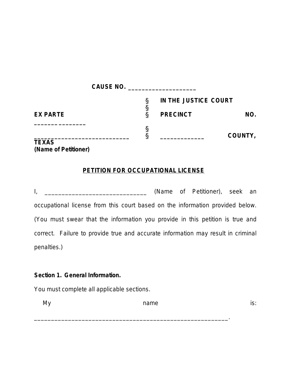|                 | <b>CAUSE NO.</b> |                      |         |
|-----------------|------------------|----------------------|---------|
|                 |                  | IN THE JUSTICE COURT |         |
| <b>EX PARTE</b> |                  | <b>PRECINCT</b>      | NO.     |
|                 |                  |                      | COUNTY, |
| <b>TEXAS</b>    |                  |                      |         |

*(Name of Petitioner)*

## **PETITION FOR OCCUPATIONAL LICENSE**

I, \_\_\_\_\_\_\_\_\_\_\_\_\_\_\_\_\_\_\_\_\_\_\_\_\_\_\_\_\_\_ *(Name of Petitioner)*, seek an occupational license from this court based on the information provided below. *(You must swear that the information you provide in this petition is true and correct. Failure to provide true and accurate information may result in criminal penalties.)*

#### **Section 1. General Information.**

*You must complete all applicable sections.*

My and the mame is: the mame is: the mame is: the mame is: the mame is: the mame is: the many  $\sim$  is:

\_\_\_\_\_\_\_\_\_\_\_\_\_\_\_\_\_\_\_\_\_\_\_\_\_\_\_\_\_\_\_\_\_\_\_\_\_\_\_\_\_\_\_\_\_\_\_\_\_\_\_\_\_\_\_\_\_.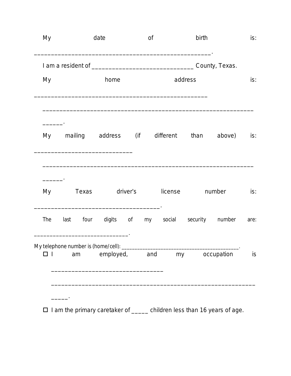| My  |                                               | date                                     |          | 0f  |         | birth   |                | is:  |
|-----|-----------------------------------------------|------------------------------------------|----------|-----|---------|---------|----------------|------|
|     |                                               |                                          |          |     |         |         | County, Texas. |      |
| My  |                                               | home                                     |          |     |         | address |                | is:  |
|     | My mailing address (if different than         |                                          |          |     |         |         | above)         | is:  |
| My  | Texas                                         |                                          | driver's |     | license |         | number         | is:  |
| The | last                                          | four digits of my social security number |          |     |         |         |                | are: |
|     | My telephone number is (home/cell): ___<br>am | employed,                                |          | and | my      |         | occupation     | is   |

 $\square$  I am the primary caretaker of  $\rule{1em}{0.15mm}$  children less than 16 years of age.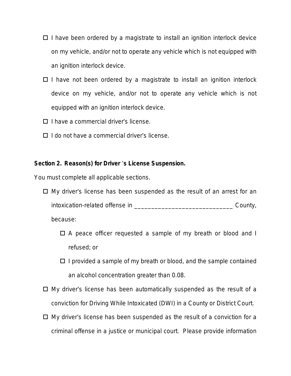- $\Box$  I have been ordered by a magistrate to install an ignition interlock device on my vehicle, and/or not to operate any vehicle which is not equipped with an ignition interlock device.
- $\Box$  I have not been ordered by a magistrate to install an ignition interlock device on my vehicle, and/or not to operate any vehicle which is not equipped with an ignition interlock device.
- $\Box$  I have a commercial driver's license.
- $\Box$  I do not have a commercial driver's license.

#### **Section 2. Reason(s) for Driver** '**s License Suspension.**

*You must complete all applicable sections.*

 $\Box$  My driver's license has been suspended as the result of an arrest for an intoxication-related offense in \_\_\_\_\_\_\_\_\_\_\_\_\_\_\_\_\_\_\_\_\_\_\_\_\_\_\_\_\_ County,

because:

- $\Box$  A peace officer requested a sample of my breath or blood and I refused; or
- $\Box$  I provided a sample of my breath or blood, and the sample contained an alcohol concentration greater than 0.08.
- $\Box$  My driver's license has been automatically suspended as the result of a conviction for Driving While Intoxicated (DWI) in a County or District Court.
- $\Box$  My driver's license has been suspended as the result of a conviction for a criminal offense in a justice or municipal court. *Please provide information*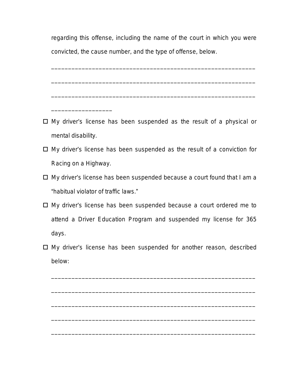*regarding this offense, including the name of the court in which you were convicted, the cause number, and the type of offense, below.*

\_\_\_\_\_\_\_\_\_\_\_\_\_\_\_\_\_\_\_\_\_\_\_\_\_\_\_\_\_\_\_\_\_\_\_\_\_\_\_\_\_\_\_\_\_\_\_\_\_\_\_\_\_\_\_\_\_\_\_\_

\_\_\_\_\_\_\_\_\_\_\_\_\_\_\_\_\_\_\_\_\_\_\_\_\_\_\_\_\_\_\_\_\_\_\_\_\_\_\_\_\_\_\_\_\_\_\_\_\_\_\_\_\_\_\_\_\_\_\_\_

\_\_\_\_\_\_\_\_\_\_\_\_\_\_\_\_\_\_\_\_\_\_\_\_\_\_\_\_\_\_\_\_\_\_\_\_\_\_\_\_\_\_\_\_\_\_\_\_\_\_\_\_\_\_\_\_\_\_\_\_

 $\Box$  My driver's license has been suspended as the result of a physical or mental disability.

\_\_\_\_\_\_\_\_\_\_\_\_\_\_\_\_\_\_

- $\Box$  My driver's license has been suspended as the result of a conviction for Racing on a Highway.
- $\Box$  My driver's license has been suspended because a court found that I am a "habitual violator of traffic laws."
- $\Box$  My driver's license has been suspended because a court ordered me to attend a Driver Education Program and suspended my license for 365 days.
- $\Box$  My driver's license has been suspended for another reason, described below:

\_\_\_\_\_\_\_\_\_\_\_\_\_\_\_\_\_\_\_\_\_\_\_\_\_\_\_\_\_\_\_\_\_\_\_\_\_\_\_\_\_\_\_\_\_\_\_\_\_\_\_\_\_\_\_\_\_\_\_\_

\_\_\_\_\_\_\_\_\_\_\_\_\_\_\_\_\_\_\_\_\_\_\_\_\_\_\_\_\_\_\_\_\_\_\_\_\_\_\_\_\_\_\_\_\_\_\_\_\_\_\_\_\_\_\_\_\_\_\_\_

\_\_\_\_\_\_\_\_\_\_\_\_\_\_\_\_\_\_\_\_\_\_\_\_\_\_\_\_\_\_\_\_\_\_\_\_\_\_\_\_\_\_\_\_\_\_\_\_\_\_\_\_\_\_\_\_\_\_\_\_

\_\_\_\_\_\_\_\_\_\_\_\_\_\_\_\_\_\_\_\_\_\_\_\_\_\_\_\_\_\_\_\_\_\_\_\_\_\_\_\_\_\_\_\_\_\_\_\_\_\_\_\_\_\_\_\_\_\_\_\_

\_\_\_\_\_\_\_\_\_\_\_\_\_\_\_\_\_\_\_\_\_\_\_\_\_\_\_\_\_\_\_\_\_\_\_\_\_\_\_\_\_\_\_\_\_\_\_\_\_\_\_\_\_\_\_\_\_\_\_\_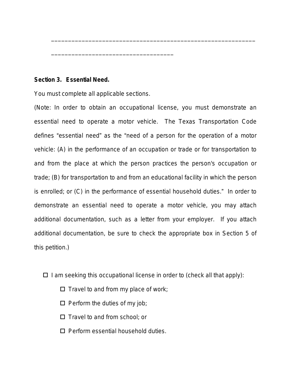#### **Section 3. Essential Need.**

*You must complete all applicable sections.*

\_\_\_\_\_\_\_\_\_\_\_\_\_\_\_\_\_\_\_\_\_\_\_\_\_\_\_\_\_\_\_\_\_\_\_\_

*(Note: In order to obtain an occupational license, you must demonstrate an essential need to operate a motor vehicle. The Texas Transportation Code defines* "*essential need*" *as the* "*need of a person for the operation of a motor vehicle: (A) in the performance of an occupation or trade or for transportation to and from the place at which the person practices the person's occupation or trade; (B) for transportation to and from an educational facility in which the person is enrolled; or (C) in the performance of essential household duties.*" *In order to demonstrate an essential need to operate a motor vehicle, you may attach additional documentation, such as a letter from your employer. If you attach additional documentation, be sure to check the appropriate box in Section 5 of this petition.)*

\_\_\_\_\_\_\_\_\_\_\_\_\_\_\_\_\_\_\_\_\_\_\_\_\_\_\_\_\_\_\_\_\_\_\_\_\_\_\_\_\_\_\_\_\_\_\_\_\_\_\_\_\_\_\_\_\_\_\_\_

 $\Box$  I am seeking this occupational license in order to *(check all that apply)*:

- $\Box$  Travel to and from my place of work;
- $\Box$  Perform the duties of my job;
- $\Box$  Travel to and from school; or
- $\Box$  Perform essential household duties.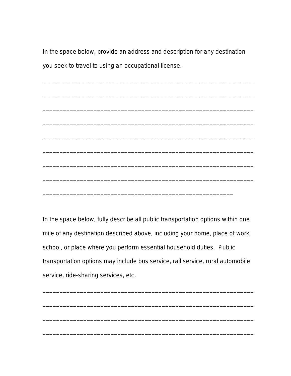*In the space below, provide an address and description for any destination you seek to travel to using an occupational license.*

\_\_\_\_\_\_\_\_\_\_\_\_\_\_\_\_\_\_\_\_\_\_\_\_\_\_\_\_\_\_\_\_\_\_\_\_\_\_\_\_\_\_\_\_\_\_\_\_\_\_\_\_\_\_\_\_\_\_\_\_\_\_

\_\_\_\_\_\_\_\_\_\_\_\_\_\_\_\_\_\_\_\_\_\_\_\_\_\_\_\_\_\_\_\_\_\_\_\_\_\_\_\_\_\_\_\_\_\_\_\_\_\_\_\_\_\_\_\_\_\_\_\_\_\_

\_\_\_\_\_\_\_\_\_\_\_\_\_\_\_\_\_\_\_\_\_\_\_\_\_\_\_\_\_\_\_\_\_\_\_\_\_\_\_\_\_\_\_\_\_\_\_\_\_\_\_\_\_\_\_\_\_\_\_\_\_\_

\_\_\_\_\_\_\_\_\_\_\_\_\_\_\_\_\_\_\_\_\_\_\_\_\_\_\_\_\_\_\_\_\_\_\_\_\_\_\_\_\_\_\_\_\_\_\_\_\_\_\_\_\_\_\_\_\_\_\_\_\_\_

\_\_\_\_\_\_\_\_\_\_\_\_\_\_\_\_\_\_\_\_\_\_\_\_\_\_\_\_\_\_\_\_\_\_\_\_\_\_\_\_\_\_\_\_\_\_\_\_\_\_\_\_\_\_\_\_\_\_\_\_\_\_

\_\_\_\_\_\_\_\_\_\_\_\_\_\_\_\_\_\_\_\_\_\_\_\_\_\_\_\_\_\_\_\_\_\_\_\_\_\_\_\_\_\_\_\_\_\_\_\_\_\_\_\_\_\_\_\_\_\_\_\_\_\_

\_\_\_\_\_\_\_\_\_\_\_\_\_\_\_\_\_\_\_\_\_\_\_\_\_\_\_\_\_\_\_\_\_\_\_\_\_\_\_\_\_\_\_\_\_\_\_\_\_\_\_\_\_\_\_\_\_\_\_\_\_\_

\_\_\_\_\_\_\_\_\_\_\_\_\_\_\_\_\_\_\_\_\_\_\_\_\_\_\_\_\_\_\_\_\_\_\_\_\_\_\_\_\_\_\_\_\_\_\_\_\_\_\_\_\_\_\_\_\_\_\_\_\_\_

\_\_\_\_\_\_\_\_\_\_\_\_\_\_\_\_\_\_\_\_\_\_\_\_\_\_\_\_\_\_\_\_\_\_\_\_\_\_\_\_\_\_\_\_\_\_\_\_\_\_\_\_\_\_\_\_

*In the space below, fully describe all public transportation options within one mile of any destination described above, including your home, place of work, school, or place where you perform essential household duties. Public transportation options may include bus service, rail service, rural automobile service, ride-sharing services, etc.*

\_\_\_\_\_\_\_\_\_\_\_\_\_\_\_\_\_\_\_\_\_\_\_\_\_\_\_\_\_\_\_\_\_\_\_\_\_\_\_\_\_\_\_\_\_\_\_\_\_\_\_\_\_\_\_\_\_\_\_\_\_\_ \_\_\_\_\_\_\_\_\_\_\_\_\_\_\_\_\_\_\_\_\_\_\_\_\_\_\_\_\_\_\_\_\_\_\_\_\_\_\_\_\_\_\_\_\_\_\_\_\_\_\_\_\_\_\_\_\_\_\_\_\_\_ \_\_\_\_\_\_\_\_\_\_\_\_\_\_\_\_\_\_\_\_\_\_\_\_\_\_\_\_\_\_\_\_\_\_\_\_\_\_\_\_\_\_\_\_\_\_\_\_\_\_\_\_\_\_\_\_\_\_\_\_\_\_ \_\_\_\_\_\_\_\_\_\_\_\_\_\_\_\_\_\_\_\_\_\_\_\_\_\_\_\_\_\_\_\_\_\_\_\_\_\_\_\_\_\_\_\_\_\_\_\_\_\_\_\_\_\_\_\_\_\_\_\_\_\_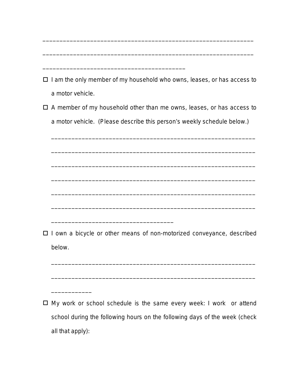| $\Box$ I am the only member of my household who owns, leases, or has access to |
|--------------------------------------------------------------------------------|
| a motor vehicle.                                                               |
| $\Box$ A member of my household other than me owns, leases, or has access to   |
| a motor vehicle. (Please describe this person's weekly schedule below.)        |
|                                                                                |
|                                                                                |
|                                                                                |
|                                                                                |
|                                                                                |
|                                                                                |
| I own a bicycle or other means of non-motorized conveyance, described          |
| below.                                                                         |
|                                                                                |
|                                                                                |
|                                                                                |
| My work or school schedule is the same every week: I work or attend            |
| school during the following hours on the following days of the week (check     |
| all that apply):                                                               |
|                                                                                |

\_\_\_\_\_\_\_\_\_\_\_\_\_\_\_\_\_\_\_\_\_\_\_\_\_\_\_\_\_\_\_\_\_\_\_\_\_\_\_\_\_\_\_\_\_\_\_\_\_\_\_\_\_\_\_\_\_\_\_\_\_\_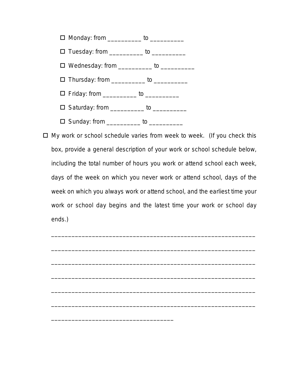

o My work or school schedule varies from week to week. *(If you check this box, provide a general description of your work or school schedule below, including the total number of hours you work or attend school each week, days of the week on which you never work or attend school, days of the week on which you always work or attend school, and the earliest time your work or school day begins and the latest time your work or school day ends.)*

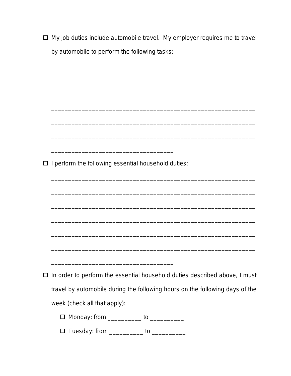□ My job duties include automobile travel. My employer requires me to travel by automobile to perform the following tasks:

| $\Box$ I perform the following essential household duties:                        |
|-----------------------------------------------------------------------------------|
|                                                                                   |
|                                                                                   |
|                                                                                   |
|                                                                                   |
|                                                                                   |
|                                                                                   |
|                                                                                   |
| $\Box$ In order to perform the essential household duties described above, I must |
|                                                                                   |
| travel by automobile during the following hours on the following days of the      |
| week (check all that apply):                                                      |
| □ Monday: from ___________ to __________                                          |
| □ Tuesday: from ___________ to __________                                         |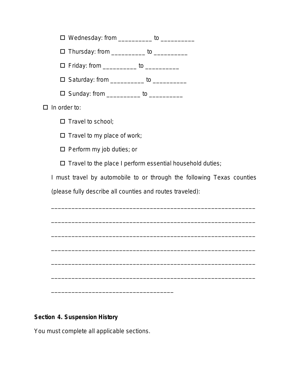□ Wednesday: from \_\_\_\_\_\_\_\_\_\_ to \_\_\_\_\_\_\_\_\_\_\_

 $\Box$  Thursday: from \_\_\_\_\_\_\_\_\_\_ to \_\_\_\_\_\_\_\_\_

**O** Friday: from \_\_\_\_\_\_\_\_\_\_\_ to \_\_\_\_\_\_\_\_\_\_

□ Saturday: from \_\_\_\_\_\_\_\_\_\_ to \_\_\_\_\_\_\_\_\_\_

 $\Box$  Sunday: from \_\_\_\_\_\_\_\_\_\_ to \_\_\_\_\_\_\_\_\_\_

 $\Box$  In order to:

 $\square$  Travel to school:

 $\Box$  Travel to my place of work;

 $\Box$  Perform my job duties; or

 $\square$  Travel to the place I perform essential household duties;

I must travel by automobile to or through the following Texas counties

\_\_\_\_\_\_\_\_\_\_\_\_\_\_\_\_\_\_\_\_\_\_\_\_\_\_\_\_\_\_\_\_\_\_\_\_\_\_\_\_\_\_\_\_\_\_\_\_\_\_\_\_\_\_\_\_\_\_\_\_

\_\_\_\_\_\_\_\_\_\_\_\_\_\_\_\_\_\_\_\_\_\_\_\_\_\_\_\_\_\_\_\_\_\_\_\_\_\_\_\_\_\_\_\_\_\_\_\_\_\_\_\_\_\_\_\_\_\_\_\_

\_\_\_\_\_\_\_\_\_\_\_\_\_\_\_\_\_\_\_\_\_\_\_\_\_\_\_\_\_\_\_\_\_\_\_\_\_\_\_\_\_\_\_\_\_\_\_\_\_\_\_\_\_\_\_\_\_\_\_\_

\_\_\_\_\_\_\_\_\_\_\_\_\_\_\_\_\_\_\_\_\_\_\_\_\_\_\_\_\_\_\_\_\_\_\_\_\_\_\_\_\_\_\_\_\_\_\_\_\_\_\_\_\_\_\_\_\_\_\_\_

\_\_\_\_\_\_\_\_\_\_\_\_\_\_\_\_\_\_\_\_\_\_\_\_\_\_\_\_\_\_\_\_\_\_\_\_\_\_\_\_\_\_\_\_\_\_\_\_\_\_\_\_\_\_\_\_\_\_\_\_

\_\_\_\_\_\_\_\_\_\_\_\_\_\_\_\_\_\_\_\_\_\_\_\_\_\_\_\_\_\_\_\_\_\_\_\_\_\_\_\_\_\_\_\_\_\_\_\_\_\_\_\_\_\_\_\_\_\_\_\_

*(please fully describe all counties and routes traveled)*:

## **Section 4. Suspension History**

*You must complete all applicable sections.*

\_\_\_\_\_\_\_\_\_\_\_\_\_\_\_\_\_\_\_\_\_\_\_\_\_\_\_\_\_\_\_\_\_\_\_\_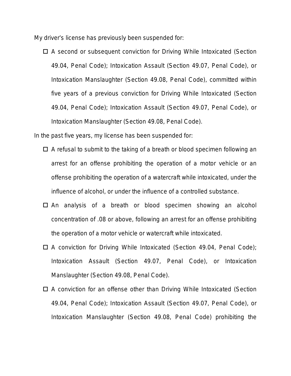My driver's license has previously been suspended for:

 $\Box$  A second or subsequent conviction for Driving While Intoxicated (Section 49.04, Penal Code); Intoxication Assault (Section 49.07, Penal Code), or Intoxication Manslaughter (Section 49.08, Penal Code), committed within five years of a previous conviction for Driving While Intoxicated (Section 49.04, Penal Code); Intoxication Assault (Section 49.07, Penal Code), or Intoxication Manslaughter (Section 49.08, Penal Code).

In the past five years, my license has been suspended for:

- $\Box$  A refusal to submit to the taking of a breath or blood specimen following an arrest for an offense prohibiting the operation of a motor vehicle or an offense prohibiting the operation of a watercraft while intoxicated, under the influence of alcohol, or under the influence of a controlled substance.
- $\Box$  An analysis of a breath or blood specimen showing an alcohol concentration of .08 or above, following an arrest for an offense prohibiting the operation of a motor vehicle or watercraft while intoxicated.
- $\Box$  A conviction for Driving While Intoxicated (Section 49.04, Penal Code); Intoxication Assault (Section 49.07, Penal Code), or Intoxication Manslaughter (Section 49.08, Penal Code).
- $\Box$  A conviction for an offense other than Driving While Intoxicated (Section 49.04, Penal Code); Intoxication Assault (Section 49.07, Penal Code), or Intoxication Manslaughter (Section 49.08, Penal Code) prohibiting the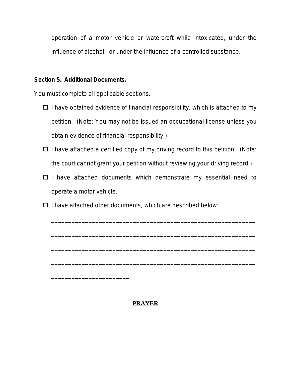operation of a motor vehicle or watercraft while intoxicated, under the influence of alcohol, or under the influence of a controlled substance.

#### **Section 5. Additional Documents.**

*You must complete all applicable sections.*

\_\_\_\_\_\_\_\_\_\_\_\_\_\_\_\_\_\_\_\_\_\_\_

- $\Box$  I have obtained evidence of financial responsibility, which is attached to my petition. *(Note: You may not be issued an occupational license unless you obtain evidence of financial responsibility.)*
- □ I have attached a certified copy of my driving record to this petition. *(Note: the court cannot grant your petition without reviewing your driving record.)*
- $\Box$  I have attached documents which demonstrate my essential need to operate a motor vehicle.

\_\_\_\_\_\_\_\_\_\_\_\_\_\_\_\_\_\_\_\_\_\_\_\_\_\_\_\_\_\_\_\_\_\_\_\_\_\_\_\_\_\_\_\_\_\_\_\_\_\_\_\_\_\_\_\_\_\_\_\_

\_\_\_\_\_\_\_\_\_\_\_\_\_\_\_\_\_\_\_\_\_\_\_\_\_\_\_\_\_\_\_\_\_\_\_\_\_\_\_\_\_\_\_\_\_\_\_\_\_\_\_\_\_\_\_\_\_\_\_\_

\_\_\_\_\_\_\_\_\_\_\_\_\_\_\_\_\_\_\_\_\_\_\_\_\_\_\_\_\_\_\_\_\_\_\_\_\_\_\_\_\_\_\_\_\_\_\_\_\_\_\_\_\_\_\_\_\_\_\_\_

\_\_\_\_\_\_\_\_\_\_\_\_\_\_\_\_\_\_\_\_\_\_\_\_\_\_\_\_\_\_\_\_\_\_\_\_\_\_\_\_\_\_\_\_\_\_\_\_\_\_\_\_\_\_\_\_\_\_\_\_

 $\Box$  I have attached other documents, which are described below:

## **PRAYER**